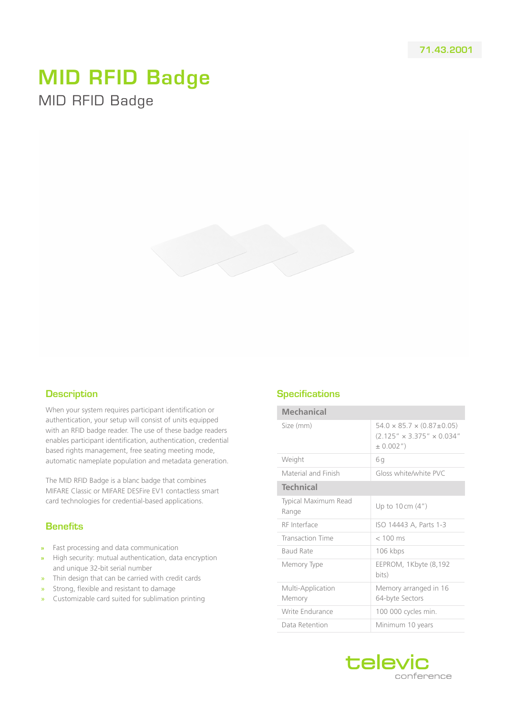## MID RFID Badge MID RFID Badge



## **Description**

When your system requires participant identification or authentication, your setup will consist of units equipped with an RFID badge reader. The use of these badge readers enables participant identification, authentication, credential based rights management, free seating meeting mode, automatic nameplate population and metadata generation.

The MID RFID Badge is a blanc badge that combines MIFARE Classic or MIFARE DESFire EV1 contactless smart card technologies for credential-based applications.

## **Benefits**

- **»** Fast processing and data communication
- **»** High security: mutual authentication, data encryption and unique 32-bit serial number
- » Thin design that can be carried with credit cards
- Strong, flexible and resistant to damage
- » Customizable card suited for sublimation printing

## **Specifications**

| <b>Mechanical</b>             |                                                                                                       |
|-------------------------------|-------------------------------------------------------------------------------------------------------|
| Size (mm)                     | $54.0 \times 85.7 \times (0.87 \pm 0.05)$<br>$(2.125'' \times 3.375'' \times 0.034''$<br>$\pm 0.002'$ |
| Weight                        | 6g                                                                                                    |
| Material and Finish           | Gloss white/white PVC                                                                                 |
| <b>Technical</b>              |                                                                                                       |
| Typical Maximum Read<br>Range | Up to $10 \text{ cm}$ $(4")$                                                                          |
| RF Interface                  | ISO 14443 A, Parts 1-3                                                                                |
| <b>Transaction Time</b>       | $< 100$ ms                                                                                            |
| Baud Rate                     | 106 kbps                                                                                              |
| Memory Type                   | EEPROM, 1Kbyte (8,192<br>bits)                                                                        |
| Multi-Application<br>Memory   | Memory arranged in 16<br>64-byte Sectors                                                              |
| Write Endurance               | 100 000 cycles min.                                                                                   |
| Data Retention                | Minimum 10 years                                                                                      |